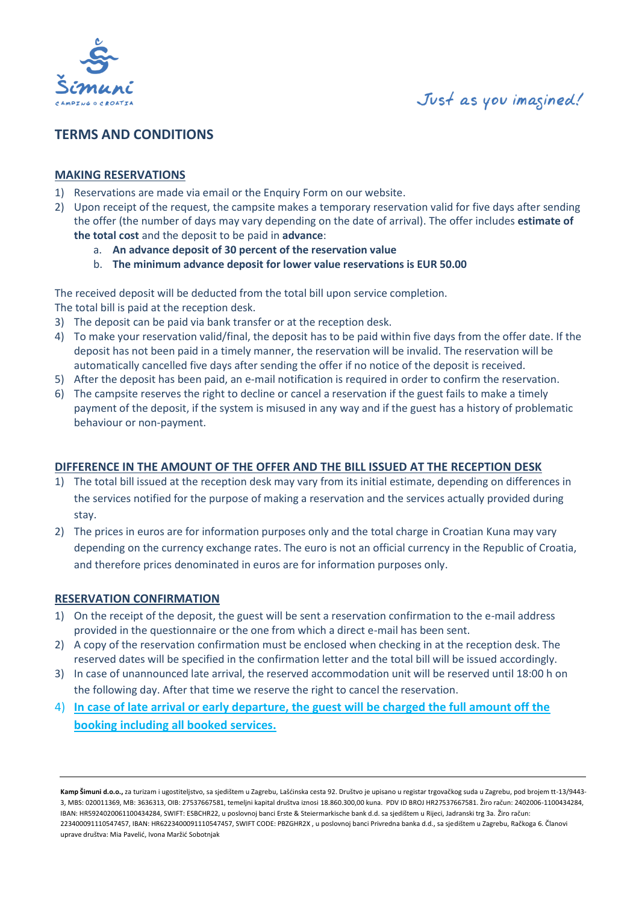

## **TERMS AND CONDITIONS**

### **MAKING RESERVATIONS**

- 1) Reservations are made via email or the Enquiry Form on our website.
- 2) Upon receipt of the request, the campsite makes a temporary reservation valid for five days after sending the offer (the number of days may vary depending on the date of arrival). The offer includes **estimate of the total cost** and the deposit to be paid in **advance**:
	- a. **An advance deposit of 30 percent of the reservation value**
	- b. **The minimum advance deposit for lower value reservations is EUR 50.00**

The received deposit will be deducted from the total bill upon service completion. The total bill is paid at the reception desk.

- 3) The deposit can be paid via bank transfer or at the reception desk.
- 4) To make your reservation valid/final, the deposit has to be paid within five days from the offer date. If the deposit has not been paid in a timely manner, the reservation will be invalid. The reservation will be automatically cancelled five days after sending the offer if no notice of the deposit is received.
- 5) After the deposit has been paid, an e-mail notification is required in order to confirm the reservation.
- 6) The campsite reserves the right to decline or cancel a reservation if the guest fails to make a timely payment of the deposit, if the system is misused in any way and if the guest has a history of problematic behaviour or non-payment.

## **DIFFERENCE IN THE AMOUNT OF THE OFFER AND THE BILL ISSUED AT THE RECEPTION DESK**

- 1) The total bill issued at the reception desk may vary from its initial estimate, depending on differences in the services notified for the purpose of making a reservation and the services actually provided during stay.
- 2) The prices in euros are for information purposes only and the total charge in Croatian Kuna may vary depending on the currency exchange rates. The euro is not an official currency in the Republic of Croatia, and therefore prices denominated in euros are for information purposes only.

## **RESERVATION CONFIRMATION**

- 1) On the receipt of the deposit, the guest will be sent a reservation confirmation to the e-mail address provided in the questionnaire or the one from which a direct e-mail has been sent.
- 2) A copy of the reservation confirmation must be enclosed when checking in at the reception desk. The reserved dates will be specified in the confirmation letter and the total bill will be issued accordingly.
- 3) In case of unannounced late arrival, the reserved accommodation unit will be reserved until 18:00 h on the following day. After that time we reserve the right to cancel the reservation.
- 4) **In case of late arrival or early departure, the guest will be charged the full amount off the booking including all booked services.**

**Kamp Šimuni d.o.o.,** za turizam i ugostiteljstvo, sa sjedištem u Zagrebu, Lašćinska cesta 92. Društvo je upisano u registar trgovačkog suda u Zagrebu, pod brojem tt-13/9443- 3, MBS: 020011369, MB: 3636313, OIB: 27537667581, temeljni kapital društva iznosi 18.860.300,00 kuna. PDV ID BROJ HR27537667581. Žiro račun: 2402006-1100434284, IBAN: HR5924020061100434284, SWIFT: ESBCHR22, u poslovnoj banci Erste & Steiermarkische bank d.d. sa sjedištem u Rijeci, Jadranski trg 3a. Žiro račun: 223400091110547457, IBAN: HR6223400091110547457, SWIFT CODE: PBZGHR2X , u poslovnoj banci Privredna banka d.d., sa sjedištem u Zagrebu, Račkoga 6. Članovi uprave društva: Mia Pavelić, Ivona Maržić Sobotnjak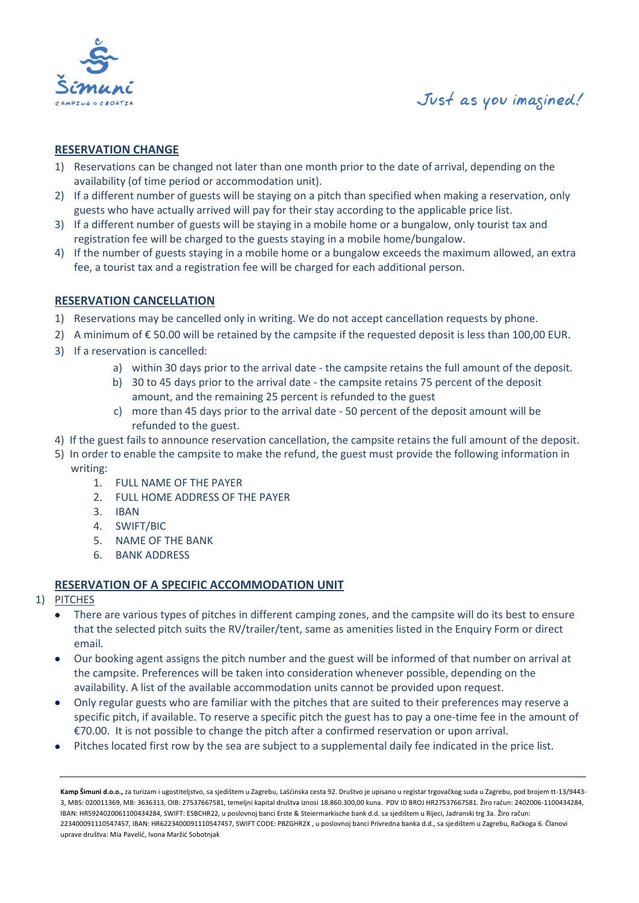

## **RESERVATION CHANGE**

- 1) Reservations can be changed not later than one month prior to the date of arrival, depending on the availability (of time period or accommodation unit).
- 2) If a different number of guests will be staying on a pitch than specified when making a reservation, only guests who have actually arrived will pay for their stay according to the applicable price list.
- 3) If a different number of guests will be staying in a mobile home or a bungalow, only tourist tax and registration fee will be charged to the guests staying in a mobile home/bungalow.
- 4) If the number of guests staying in a mobile home or a bungalow exceeds the maximum allowed, an extra fee, a tourist tax and a registration fee will be charged for each additional person.

## **RESERVATION CANCELLATION**

- 1) Reservations may be cancelled only in writing. We do not accept cancellation requests by phone.
- 2) A minimum of €50.00 will be retained by the campsite if the requested deposit is less than 100,00 EUR.
- 3) If a reservation is cancelled:
	- a) within 30 days prior to the arrival date the campsite retains the full amount of the deposit.
	- b) 30 to 45 days prior to the arrival date the campsite retains 75 percent of the deposit amount, and the remaining 25 percent is refunded to the guest
	- c) more than 45 days prior to the arrival date 50 percent of the deposit amount will be refunded to the guest.
- 4) If the guest fails to announce reservation cancellation, the campsite retains the full amount of the deposit.
- 5) In order to enable the campsite to make the refund, the guest must provide the following information in writing:
	- 1. FULL NAME OF THE PAYER
	- 2. FULL HOME ADDRESS OF THE PAYER
	- 3. IBAN
	- 4. SWIFT/BIC
	- 5. NAME OF THE BANK
	- 6. BANK ADDRESS

## **RESERVATION OF A SPECIFIC ACCOMMODATION UNIT**

- 1) PITCHES
	- There are various types of pitches in different camping zones, and the campsite will do its best to ensure that the selected pitch suits the RV/trailer/tent, same as amenities listed in the Enquiry Form or direct email.
	- Our booking agent assigns the pitch number and the guest will be informed of that number on arrival at the campsite. Preferences will be taken into consideration whenever possible, depending on the availability. A list of the available accommodation units cannot be provided upon request.
	- Only regular guests who are familiar with the pitches that are suited to their preferences may reserve a specific pitch, if available. To reserve a specific pitch the guest has to pay a one-time fee in the amount of €70.00. It is not possible to change the pitch after a confirmed reservation or upon arrival.
	- Pitches located first row by the sea are subject to a supplemental daily fee indicated in the price list.

**Kamp Šimuni d.o.o.,** za turizam i ugostiteljstvo, sa sjedištem u Zagrebu, Lašćinska cesta 92. Društvo je upisano u registar trgovačkog suda u Zagrebu, pod brojem tt-13/9443- 3, MBS: 020011369, MB: 3636313, OIB: 27537667581, temeljni kapital društva iznosi 18.860.300,00 kuna. PDV ID BROJ HR27537667581. Žiro račun: 2402006-1100434284, IBAN: HR5924020061100434284, SWIFT: ESBCHR22, u poslovnoj banci Erste & Steiermarkische bank d.d. sa sjedištem u Rijeci, Jadranski trg 3a. Žiro račun: 223400091110547457, IBAN: HR6223400091110547457, SWIFT CODE: PBZGHR2X , u poslovnoj banci Privredna banka d.d., sa sjedištem u Zagrebu, Račkoga 6. Članovi uprave društva: Mia Pavelić, Ivona Maržić Sobotnjak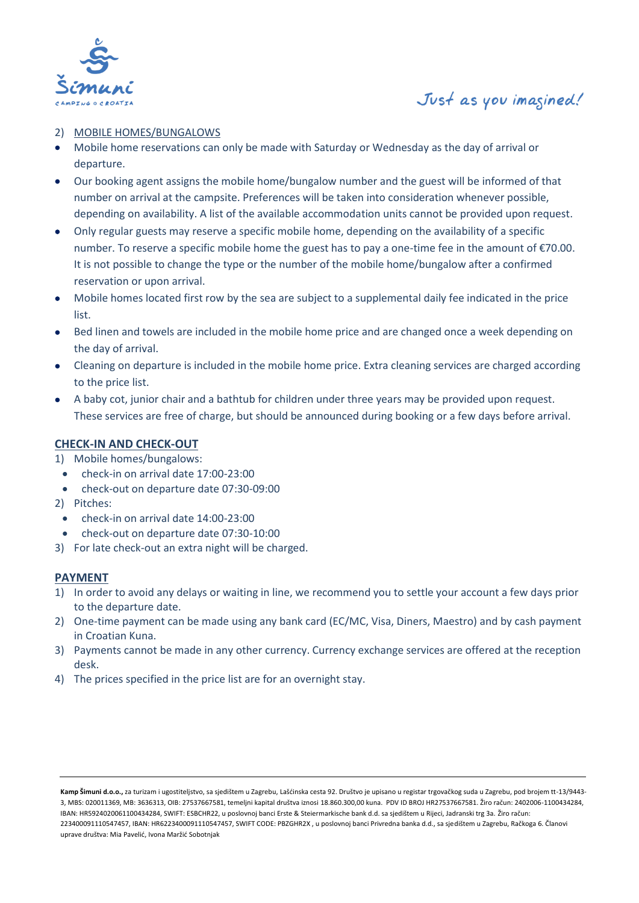

#### 2) MOBILE HOMES/BUNGALOWS

- Mobile home reservations can only be made with Saturday or Wednesday as the day of arrival or departure.
- Our booking agent assigns the mobile home/bungalow number and the guest will be informed of that number on arrival at the campsite. Preferences will be taken into consideration whenever possible, depending on availability. A list of the available accommodation units cannot be provided upon request.
- Only regular guests may reserve a specific mobile home, depending on the availability of a specific number. To reserve a specific mobile home the guest has to pay a one-time fee in the amount of €70.00. It is not possible to change the type or the number of the mobile home/bungalow after a confirmed reservation or upon arrival.
- Mobile homes located first row by the sea are subject to a supplemental daily fee indicated in the price list.
- Bed linen and towels are included in the mobile home price and are changed once a week depending on the day of arrival.
- Cleaning on departure is included in the mobile home price. Extra cleaning services are charged according to the price list.
- A baby cot, junior chair and a bathtub for children under three years may be provided upon request. These services are free of charge, but should be announced during booking or a few days before arrival.

### **CHECK-IN AND CHECK-OUT**

- 1) Mobile homes/bungalows:
- check-in on arrival date 17:00-23:00
- check-out on departure date 07:30-09:00
- 2) Pitches:
- check-in on arrival date 14:00-23:00
- check-out on departure date 07:30-10:00
- 3) For late check-out an extra night will be charged.

#### **PAYMENT**

- 1) In order to avoid any delays or waiting in line, we recommend you to settle your account a few days prior to the departure date.
- 2) One-time payment can be made using any bank card (EC/MC, Visa, Diners, Maestro) and by cash payment in Croatian Kuna.
- 3) Payments cannot be made in any other currency. Currency exchange services are offered at the reception desk.
- 4) The prices specified in the price list are for an overnight stay.

**Kamp Šimuni d.o.o.,** za turizam i ugostiteljstvo, sa sjedištem u Zagrebu, Lašćinska cesta 92. Društvo je upisano u registar trgovačkog suda u Zagrebu, pod brojem tt-13/9443- 3, MBS: 020011369, MB: 3636313, OIB: 27537667581, temeljni kapital društva iznosi 18.860.300,00 kuna. PDV ID BROJ HR27537667581. Žiro račun: 2402006-1100434284, IBAN: HR5924020061100434284, SWIFT: ESBCHR22, u poslovnoj banci Erste & Steiermarkische bank d.d. sa sjedištem u Rijeci, Jadranski trg 3a. Žiro račun: 223400091110547457, IBAN: HR6223400091110547457, SWIFT CODE: PBZGHR2X , u poslovnoj banci Privredna banka d.d., sa sjedištem u Zagrebu, Račkoga 6. Članovi uprave društva: Mia Pavelić, Ivona Maržić Sobotnjak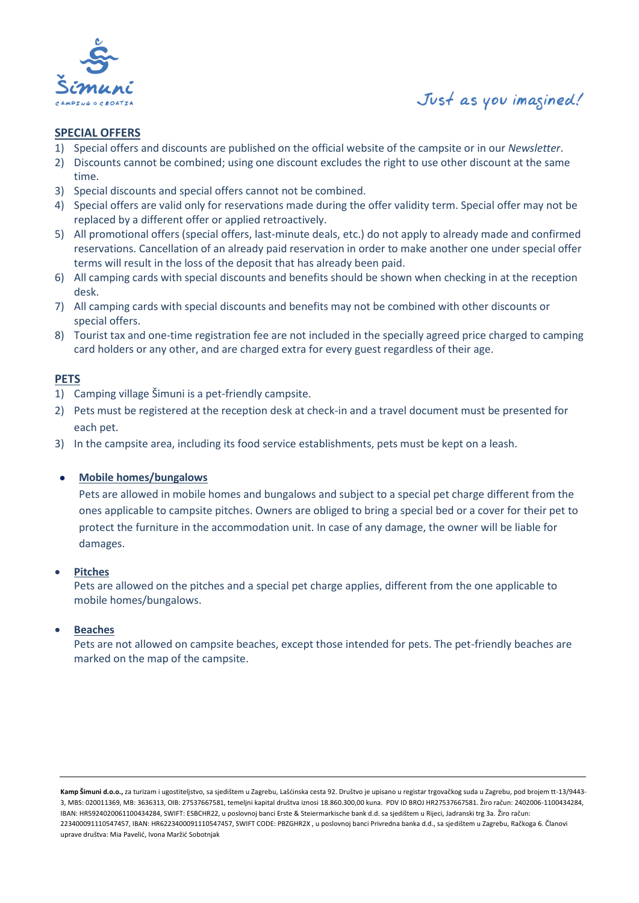

### **SPECIAL OFFERS**

- 1) Special offers and discounts are published on the official website of the campsite or in our *Newsletter*.
- 2) Discounts cannot be combined; using one discount excludes the right to use other discount at the same time.
- 3) Special discounts and special offers cannot not be combined.
- 4) Special offers are valid only for reservations made during the offer validity term. Special offer may not be replaced by a different offer or applied retroactively.
- 5) All promotional offers (special offers, last-minute deals, etc.) do not apply to already made and confirmed reservations. Cancellation of an already paid reservation in order to make another one under special offer terms will result in the loss of the deposit that has already been paid.
- 6) All camping cards with special discounts and benefits should be shown when checking in at the reception desk.
- 7) All camping cards with special discounts and benefits may not be combined with other discounts or special offers.
- 8) Tourist tax and one-time registration fee are not included in the specially agreed price charged to camping card holders or any other, and are charged extra for every guest regardless of their age.

### **PETS**

- 1) Camping village Šimuni is a pet-friendly campsite.
- 2) Pets must be registered at the reception desk at check-in and a travel document must be presented for each pet.
- 3) In the campsite area, including its food service establishments, pets must be kept on a leash.

#### • **Mobile homes/bungalows**

Pets are allowed in mobile homes and bungalows and subject to a special pet charge different from the ones applicable to campsite pitches. Owners are obliged to bring a special bed or a cover for their pet to protect the furniture in the accommodation unit. In case of any damage, the owner will be liable for damages.

#### • **Pitches**

Pets are allowed on the pitches and a special pet charge applies, different from the one applicable to mobile homes/bungalows.

#### • **Beaches**

Pets are not allowed on campsite beaches, except those intended for pets. The pet-friendly beaches are marked on the map of the campsite.

**Kamp Šimuni d.o.o.,** za turizam i ugostiteljstvo, sa sjedištem u Zagrebu, Lašćinska cesta 92. Društvo je upisano u registar trgovačkog suda u Zagrebu, pod brojem tt-13/9443- 3, MBS: 020011369, MB: 3636313, OIB: 27537667581, temeljni kapital društva iznosi 18.860.300,00 kuna. PDV ID BROJ HR27537667581. Žiro račun: 2402006-1100434284, IBAN: HR5924020061100434284, SWIFT: ESBCHR22, u poslovnoj banci Erste & Steiermarkische bank d.d. sa sjedištem u Rijeci, Jadranski trg 3a. Žiro račun: 223400091110547457, IBAN: HR6223400091110547457, SWIFT CODE: PBZGHR2X , u poslovnoj banci Privredna banka d.d., sa sjedištem u Zagrebu, Račkoga 6. Članovi uprave društva: Mia Pavelić, Ivona Maržić Sobotnjak